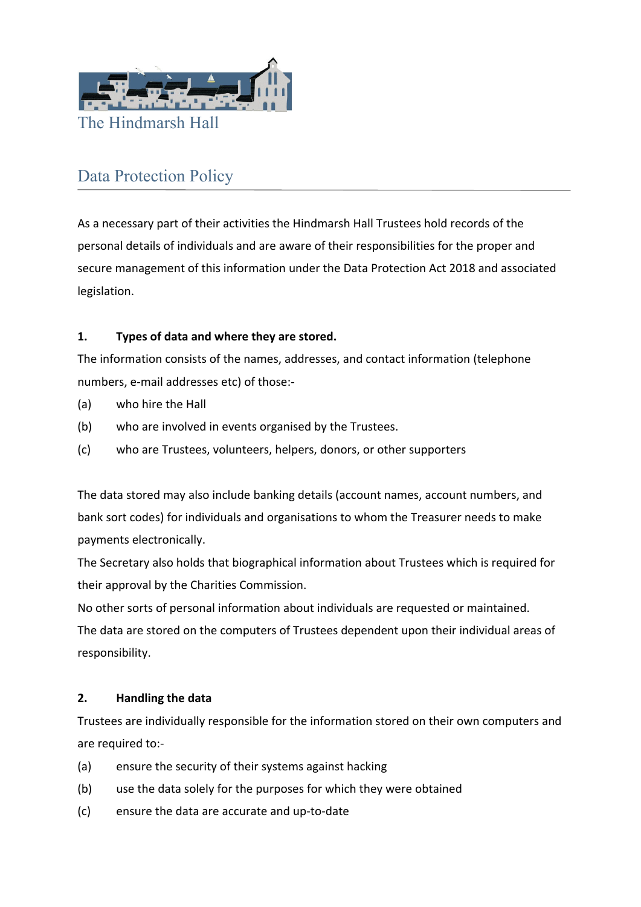

## Data Protection Policy

As a necessary part of their activities the Hindmarsh Hall Trustees hold records of the personal details of individuals and are aware of their responsibilities for the proper and secure management of this information under the Data Protection Act 2018 and associated legislation.

## **1. Types of data and where they are stored.**

The information consists of the names, addresses, and contact information (telephone numbers, e‐mail addresses etc) of those:‐

- (a) who hire the Hall
- (b) who are involved in events organised by the Trustees.
- (c) who are Trustees, volunteers, helpers, donors, or other supporters

The data stored may also include banking details (account names, account numbers, and bank sort codes) for individuals and organisations to whom the Treasurer needs to make payments electronically.

The Secretary also holds that biographical information about Trustees which is required for their approval by the Charities Commission.

No other sorts of personal information about individuals are requested or maintained. The data are stored on the computers of Trustees dependent upon their individual areas of responsibility.

## **2. Handling the data**

Trustees are individually responsible for the information stored on their own computers and are required to:‐

- (a) ensure the security of their systems against hacking
- (b) use the data solely for the purposes for which they were obtained
- (c) ensure the data are accurate and up‐to‐date